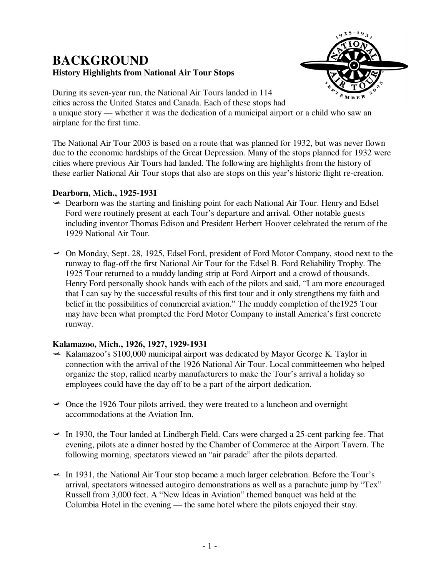# **BACKGROUND History Highlights from National Air Tour Stops**



During its seven-year run, the National Air Tours landed in 114 cities across the United States and Canada. Each of these stops had a unique story — whether it was the dedication of a municipal airport or a child who saw an airplane for the first time.

The National Air Tour 2003 is based on a route that was planned for 1932, but was never flown due to the economic hardships of the Great Depression. Many of the stops planned for 1932 were cities where previous Air Tours had landed. The following are highlights from the history of these earlier National Air Tour stops that also are stops on this year's historic flight re-creation.

## **Dearborn, Mich., 1925-1931**

- $\triangle$  Dearborn was the starting and finishing point for each National Air Tour. Henry and Edsel Ford were routinely present at each Tour's departure and arrival. Other notable guests including inventor Thomas Edison and President Herbert Hoover celebrated the return of the 1929 National Air Tour.
- $\sim$  On Monday, Sept. 28, 1925, Edsel Ford, president of Ford Motor Company, stood next to the runway to flag-off the first National Air Tour for the Edsel B. Ford Reliability Trophy. The 1925 Tour returned to a muddy landing strip at Ford Airport and a crowd of thousands. Henry Ford personally shook hands with each of the pilots and said, "I am more encouraged that I can say by the successful results of this first tour and it only strengthens my faith and belief in the possibilities of commercial aviation." The muddy completion of the1925 Tour may have been what prompted the Ford Motor Company to install America's first concrete runway.

## **Kalamazoo, Mich., 1926, 1927, 1929-1931**

- $\leq$  Kalamazoo's \$100,000 municipal airport was dedicated by Mayor George K. Taylor in connection with the arrival of the 1926 National Air Tour. Local committeemen who helped organize the stop, rallied nearby manufacturers to make the Tour's arrival a holiday so employees could have the day off to be a part of the airport dedication.
- $\sim$  Once the 1926 Tour pilots arrived, they were treated to a luncheon and overnight accommodations at the Aviation Inn.
- $\leq$  In 1930, the Tour landed at Lindbergh Field. Cars were charged a 25-cent parking fee. That evening, pilots ate a dinner hosted by the Chamber of Commerce at the Airport Tavern. The following morning, spectators viewed an "air parade" after the pilots departed.
- $\leq$  In 1931, the National Air Tour stop became a much larger celebration. Before the Tour's arrival, spectators witnessed autogiro demonstrations as well as a parachute jump by "Tex" Russell from 3,000 feet. A "New Ideas in Aviation" themed banquet was held at the Columbia Hotel in the evening — the same hotel where the pilots enjoyed their stay.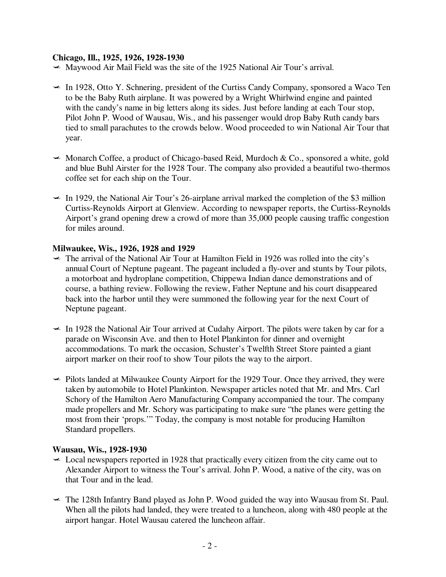#### **Chicago, Ill., 1925, 1926, 1928-1930**

- $\blacktriangleright$  Maywood Air Mail Field was the site of the 1925 National Air Tour's arrival.
- $\leq$  In 1928, Otto Y. Schnering, president of the Curtiss Candy Company, sponsored a Waco Ten to be the Baby Ruth airplane. It was powered by a Wright Whirlwind engine and painted with the candy's name in big letters along its sides. Just before landing at each Tour stop, Pilot John P. Wood of Wausau, Wis., and his passenger would drop Baby Ruth candy bars tied to small parachutes to the crowds below. Wood proceeded to win National Air Tour that year.
- $\triangleleft$  Monarch Coffee, a product of Chicago-based Reid, Murdoch & Co., sponsored a white, gold and blue Buhl Airster for the 1928 Tour. The company also provided a beautiful two-thermos coffee set for each ship on the Tour.
- $\leq$  In 1929, the National Air Tour's 26-airplane arrival marked the completion of the \$3 million Curtiss-Reynolds Airport at Glenview. According to newspaper reports, the Curtiss-Reynolds Airport's grand opening drew a crowd of more than 35,000 people causing traffic congestion for miles around.

#### **Milwaukee, Wis., 1926, 1928 and 1929**

- $\sim$  The arrival of the National Air Tour at Hamilton Field in 1926 was rolled into the city's annual Court of Neptune pageant. The pageant included a fly-over and stunts by Tour pilots, a motorboat and hydroplane competition, Chippewa Indian dance demonstrations and of course, a bathing review. Following the review, Father Neptune and his court disappeared back into the harbor until they were summoned the following year for the next Court of Neptune pageant.
- $\leq$  In 1928 the National Air Tour arrived at Cudahy Airport. The pilots were taken by car for a parade on Wisconsin Ave. and then to Hotel Plankinton for dinner and overnight accommodations. To mark the occasion, Schuster's Twelfth Street Store painted a giant airport marker on their roof to show Tour pilots the way to the airport.
- $\rightarrow$  Pilots landed at Milwaukee County Airport for the 1929 Tour. Once they arrived, they were taken by automobile to Hotel Plankinton. Newspaper articles noted that Mr. and Mrs. Carl Schory of the Hamilton Aero Manufacturing Company accompanied the tour. The company made propellers and Mr. Schory was participating to make sure "the planes were getting the most from their 'props.'" Today, the company is most notable for producing Hamilton Standard propellers.

#### **Wausau, Wis., 1928-1930**

- $\leq$  Local newspapers reported in 1928 that practically every citizen from the city came out to Alexander Airport to witness the Tour's arrival. John P. Wood, a native of the city, was on that Tour and in the lead.
- $\leq$  The 128th Infantry Band played as John P. Wood guided the way into Wausau from St. Paul. When all the pilots had landed, they were treated to a luncheon, along with 480 people at the airport hangar. Hotel Wausau catered the luncheon affair.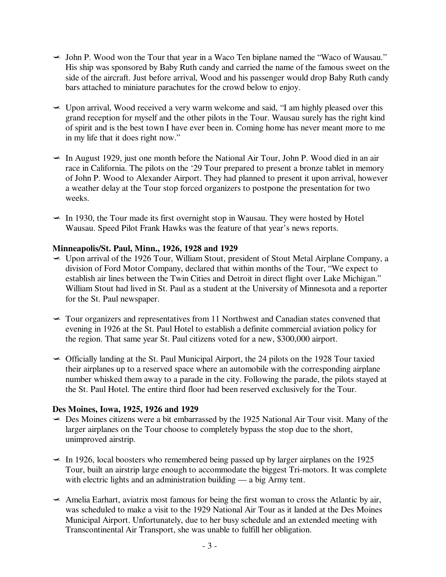- $\leq$  John P. Wood won the Tour that year in a Waco Ten biplane named the "Waco of Wausau." His ship was sponsored by Baby Ruth candy and carried the name of the famous sweet on the side of the aircraft. Just before arrival, Wood and his passenger would drop Baby Ruth candy bars attached to miniature parachutes for the crowd below to enjoy.
- $\leq$  Upon arrival, Wood received a very warm welcome and said, "I am highly pleased over this grand reception for myself and the other pilots in the Tour. Wausau surely has the right kind of spirit and is the best town I have ever been in. Coming home has never meant more to me in my life that it does right now."
- $\leq$  In August 1929, just one month before the National Air Tour, John P. Wood died in an air race in California. The pilots on the '29 Tour prepared to present a bronze tablet in memory of John P. Wood to Alexander Airport. They had planned to present it upon arrival, however a weather delay at the Tour stop forced organizers to postpone the presentation for two weeks.
- $\leq$  In 1930, the Tour made its first overnight stop in Wausau. They were hosted by Hotel Wausau. Speed Pilot Frank Hawks was the feature of that year's news reports.

## **Minneapolis/St. Paul, Minn., 1926, 1928 and 1929**

- $\leq$  Upon arrival of the 1926 Tour, William Stout, president of Stout Metal Airplane Company, a division of Ford Motor Company, declared that within months of the Tour, "We expect to establish air lines between the Twin Cities and Detroit in direct flight over Lake Michigan." William Stout had lived in St. Paul as a student at the University of Minnesota and a reporter for the St. Paul newspaper.
- $\sim$  Tour organizers and representatives from 11 Northwest and Canadian states convened that evening in 1926 at the St. Paul Hotel to establish a definite commercial aviation policy for the region. That same year St. Paul citizens voted for a new, \$300,000 airport.
- $\sim$  Officially landing at the St. Paul Municipal Airport, the 24 pilots on the 1928 Tour taxied their airplanes up to a reserved space where an automobile with the corresponding airplane number whisked them away to a parade in the city. Following the parade, the pilots stayed at the St. Paul Hotel. The entire third floor had been reserved exclusively for the Tour.

## **Des Moines, Iowa, 1925, 1926 and 1929**

- $\sim$  Des Moines citizens were a bit embarrassed by the 1925 National Air Tour visit. Many of the larger airplanes on the Tour choose to completely bypass the stop due to the short, unimproved airstrip.
- $\leq$  In 1926, local boosters who remembered being passed up by larger airplanes on the 1925 Tour, built an airstrip large enough to accommodate the biggest Tri-motors. It was complete with electric lights and an administration building — a big Army tent.
- $\triangle$  Amelia Earhart, aviatrix most famous for being the first woman to cross the Atlantic by air, was scheduled to make a visit to the 1929 National Air Tour as it landed at the Des Moines Municipal Airport. Unfortunately, due to her busy schedule and an extended meeting with Transcontinental Air Transport, she was unable to fulfill her obligation.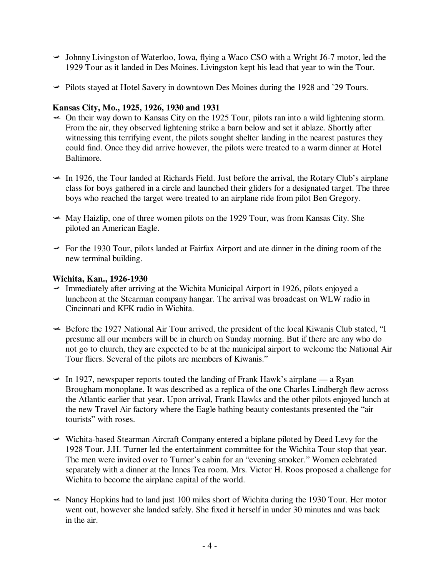- $\triangleleft$  Johnny Livingston of Waterloo, Iowa, flying a Waco CSO with a Wright J6-7 motor, led the 1929 Tour as it landed in Des Moines. Livingston kept his lead that year to win the Tour.
- $\blacktriangleright$  Pilots stayed at Hotel Savery in downtown Des Moines during the 1928 and '29 Tours.

## **Kansas City, Mo., 1925, 1926, 1930 and 1931**

- $\sim$  On their way down to Kansas City on the 1925 Tour, pilots ran into a wild lightening storm. From the air, they observed lightening strike a barn below and set it ablaze. Shortly after witnessing this terrifying event, the pilots sought shelter landing in the nearest pastures they could find. Once they did arrive however, the pilots were treated to a warm dinner at Hotel Baltimore.
- $\leq$  In 1926, the Tour landed at Richards Field. Just before the arrival, the Rotary Club's airplane class for boys gathered in a circle and launched their gliders for a designated target. The three boys who reached the target were treated to an airplane ride from pilot Ben Gregory.
- $\blacktriangleright$  May Haizlip, one of three women pilots on the 1929 Tour, was from Kansas City. She piloted an American Eagle.
- $\leq$  For the 1930 Tour, pilots landed at Fairfax Airport and ate dinner in the dining room of the new terminal building.

#### **Wichita, Kan., 1926-1930**

- $\text{Immediately after arriving at the Wichita Municipal Airport in 1926, pilots enjoyed a}$ luncheon at the Stearman company hangar. The arrival was broadcast on WLW radio in Cincinnati and KFK radio in Wichita.
- $\blacktriangleright$  Before the 1927 National Air Tour arrived, the president of the local Kiwanis Club stated, "I presume all our members will be in church on Sunday morning. But if there are any who do not go to church, they are expected to be at the municipal airport to welcome the National Air Tour fliers. Several of the pilots are members of Kiwanis."
- $\leq$  In 1927, newspaper reports touted the landing of Frank Hawk's airplane a Ryan Brougham monoplane. It was described as a replica of the one Charles Lindbergh flew across the Atlantic earlier that year. Upon arrival, Frank Hawks and the other pilots enjoyed lunch at the new Travel Air factory where the Eagle bathing beauty contestants presented the "air tourists" with roses.
- $\triangleq$  Wichita-based Stearman Aircraft Company entered a biplane piloted by Deed Levy for the 1928 Tour. J.H. Turner led the entertainment committee for the Wichita Tour stop that year. The men were invited over to Turner's cabin for an "evening smoker." Women celebrated separately with a dinner at the Innes Tea room. Mrs. Victor H. Roos proposed a challenge for Wichita to become the airplane capital of the world.
- $\sim$  Nancy Hopkins had to land just 100 miles short of Wichita during the 1930 Tour. Her motor went out, however she landed safely. She fixed it herself in under 30 minutes and was back in the air.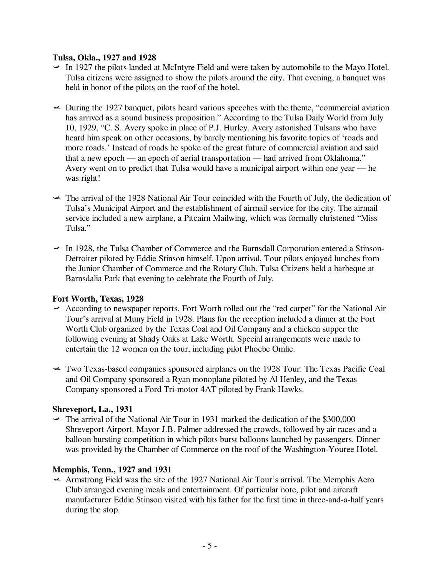#### **Tulsa, Okla., 1927 and 1928**

- $\sim$  In 1927 the pilots landed at McIntyre Field and were taken by automobile to the Mayo Hotel. Tulsa citizens were assigned to show the pilots around the city. That evening, a banquet was held in honor of the pilots on the roof of the hotel.
- $\sim$  During the 1927 banquet, pilots heard various speeches with the theme, "commercial aviation" has arrived as a sound business proposition." According to the Tulsa Daily World from July 10, 1929, "C. S. Avery spoke in place of P.J. Hurley. Avery astonished Tulsans who have heard him speak on other occasions, by barely mentioning his favorite topics of 'roads and more roads.' Instead of roads he spoke of the great future of commercial aviation and said that a new epoch — an epoch of aerial transportation — had arrived from Oklahoma." Avery went on to predict that Tulsa would have a municipal airport within one year — he was right!
- $\rightarrow$  The arrival of the 1928 National Air Tour coincided with the Fourth of July, the dedication of Tulsa's Municipal Airport and the establishment of airmail service for the city. The airmail service included a new airplane, a Pitcairn Mailwing, which was formally christened "Miss Tulsa."
- $\leq$  In 1928, the Tulsa Chamber of Commerce and the Barnsdall Corporation entered a Stinson-Detroiter piloted by Eddie Stinson himself. Upon arrival, Tour pilots enjoyed lunches from the Junior Chamber of Commerce and the Rotary Club. Tulsa Citizens held a barbeque at Barnsdalia Park that evening to celebrate the Fourth of July.

## **Fort Worth, Texas, 1928**

- $\triangle$  According to newspaper reports, Fort Worth rolled out the "red carpet" for the National Air Tour's arrival at Muny Field in 1928. Plans for the reception included a dinner at the Fort Worth Club organized by the Texas Coal and Oil Company and a chicken supper the following evening at Shady Oaks at Lake Worth. Special arrangements were made to entertain the 12 women on the tour, including pilot Phoebe Omlie.
- $\rightarrow$  Two Texas-based companies sponsored airplanes on the 1928 Tour. The Texas Pacific Coal and Oil Company sponsored a Ryan monoplane piloted by Al Henley, and the Texas Company sponsored a Ford Tri-motor 4AT piloted by Frank Hawks.

## **Shreveport, La., 1931**

 $\sim$  The arrival of the National Air Tour in 1931 marked the dedication of the \$300,000 Shreveport Airport. Mayor J.B. Palmer addressed the crowds, followed by air races and a balloon bursting competition in which pilots burst balloons launched by passengers. Dinner was provided by the Chamber of Commerce on the roof of the Washington-Youree Hotel.

## **Memphis, Tenn., 1927 and 1931**

 $\triangle$  Armstrong Field was the site of the 1927 National Air Tour's arrival. The Memphis Aero Club arranged evening meals and entertainment. Of particular note, pilot and aircraft manufacturer Eddie Stinson visited with his father for the first time in three-and-a-half years during the stop.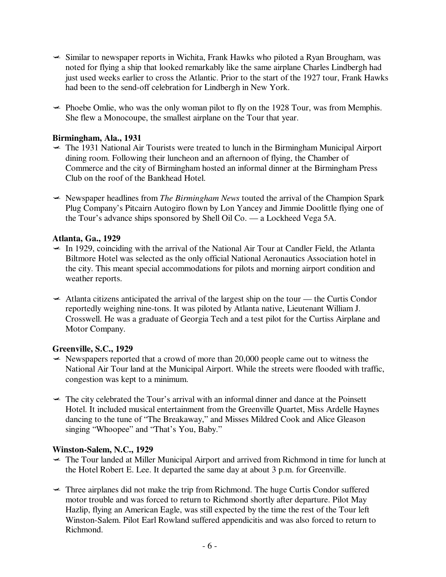- $\leq$  Similar to newspaper reports in Wichita, Frank Hawks who piloted a Ryan Brougham, was noted for flying a ship that looked remarkably like the same airplane Charles Lindbergh had just used weeks earlier to cross the Atlantic. Prior to the start of the 1927 tour, Frank Hawks had been to the send-off celebration for Lindbergh in New York.
- $\blacktriangleright$  Phoebe Omlie, who was the only woman pilot to fly on the 1928 Tour, was from Memphis. She flew a Monocoupe, the smallest airplane on the Tour that year.

## **Birmingham, Ala., 1931**

- $\sim$  The 1931 National Air Tourists were treated to lunch in the Birmingham Municipal Airport dining room. Following their luncheon and an afternoon of flying, the Chamber of Commerce and the city of Birmingham hosted an informal dinner at the Birmingham Press Club on the roof of the Bankhead Hotel.
- Newspaper headlines from *The Birmingham News* touted the arrival of the Champion Spark Plug Company's Pitcairn Autogiro flown by Lon Yancey and Jimmie Doolittle flying one of the Tour's advance ships sponsored by Shell Oil Co. — a Lockheed Vega 5A.

## **Atlanta, Ga., 1929**

- $\leq$  In 1929, coinciding with the arrival of the National Air Tour at Candler Field, the Atlanta Biltmore Hotel was selected as the only official National Aeronautics Association hotel in the city. This meant special accommodations for pilots and morning airport condition and weather reports.
- $\triangleleft$  Atlanta citizens anticipated the arrival of the largest ship on the tour the Curtis Condor reportedly weighing nine-tons. It was piloted by Atlanta native, Lieutenant William J. Crosswell. He was a graduate of Georgia Tech and a test pilot for the Curtiss Airplane and Motor Company.

#### **Greenville, S.C., 1929**

- $\sim$  Newspapers reported that a crowd of more than 20,000 people came out to witness the National Air Tour land at the Municipal Airport. While the streets were flooded with traffic, congestion was kept to a minimum.
- $\rightarrow$  The city celebrated the Tour's arrival with an informal dinner and dance at the Poinsett Hotel. It included musical entertainment from the Greenville Quartet, Miss Ardelle Haynes dancing to the tune of "The Breakaway," and Misses Mildred Cook and Alice Gleason singing "Whoopee" and "That's You, Baby."

#### **Winston-Salem, N.C., 1929**

- The Tour landed at Miller Municipal Airport and arrived from Richmond in time for lunch at the Hotel Robert E. Lee. It departed the same day at about 3 p.m. for Greenville.
- $\text{F}$  Three airplanes did not make the trip from Richmond. The huge Curtis Condor suffered motor trouble and was forced to return to Richmond shortly after departure. Pilot May Hazlip, flying an American Eagle, was still expected by the time the rest of the Tour left Winston-Salem. Pilot Earl Rowland suffered appendicitis and was also forced to return to Richmond.